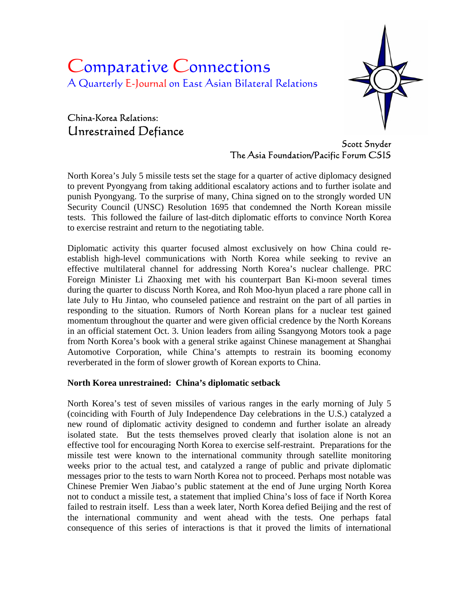# Comparative Connections A Quarterly E-Journal on East Asian Bilateral Relations

# China-Korea Relations: Unrestrained Defiance



Scott Snyder The Asia Foundation/Pacific Forum CSIS

North Korea's July 5 missile tests set the stage for a quarter of active diplomacy designed to prevent Pyongyang from taking additional escalatory actions and to further isolate and punish Pyongyang. To the surprise of many, China signed on to the strongly worded UN Security Council (UNSC) Resolution 1695 that condemned the North Korean missile tests. This followed the failure of last-ditch diplomatic efforts to convince North Korea to exercise restraint and return to the negotiating table.

Diplomatic activity this quarter focused almost exclusively on how China could reestablish high-level communications with North Korea while seeking to revive an effective multilateral channel for addressing North Korea's nuclear challenge. PRC Foreign Minister Li Zhaoxing met with his counterpart Ban Ki-moon several times during the quarter to discuss North Korea, and Roh Moo-hyun placed a rare phone call in late July to Hu Jintao, who counseled patience and restraint on the part of all parties in responding to the situation. Rumors of North Korean plans for a nuclear test gained momentum throughout the quarter and were given official credence by the North Koreans in an official statement Oct. 3. Union leaders from ailing Ssangyong Motors took a page from North Korea's book with a general strike against Chinese management at Shanghai Automotive Corporation, while China's attempts to restrain its booming economy reverberated in the form of slower growth of Korean exports to China.

# **North Korea unrestrained: China's diplomatic setback**

North Korea's test of seven missiles of various ranges in the early morning of July 5 (coinciding with Fourth of July Independence Day celebrations in the U.S.) catalyzed a new round of diplomatic activity designed to condemn and further isolate an already isolated state. But the tests themselves proved clearly that isolation alone is not an effective tool for encouraging North Korea to exercise self-restraint. Preparations for the missile test were known to the international community through satellite monitoring weeks prior to the actual test, and catalyzed a range of public and private diplomatic messages prior to the tests to warn North Korea not to proceed. Perhaps most notable was Chinese Premier Wen Jiabao's public statement at the end of June urging North Korea not to conduct a missile test, a statement that implied China's loss of face if North Korea failed to restrain itself. Less than a week later, North Korea defied Beijing and the rest of the international community and went ahead with the tests. One perhaps fatal consequence of this series of interactions is that it proved the limits of international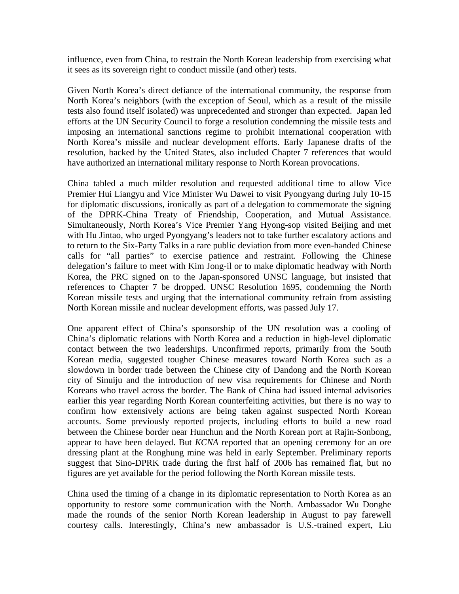influence, even from China, to restrain the North Korean leadership from exercising what it sees as its sovereign right to conduct missile (and other) tests.

Given North Korea's direct defiance of the international community, the response from North Korea's neighbors (with the exception of Seoul, which as a result of the missile tests also found itself isolated) was unprecedented and stronger than expected. Japan led efforts at the UN Security Council to forge a resolution condemning the missile tests and imposing an international sanctions regime to prohibit international cooperation with North Korea's missile and nuclear development efforts. Early Japanese drafts of the resolution, backed by the United States, also included Chapter 7 references that would have authorized an international military response to North Korean provocations.

China tabled a much milder resolution and requested additional time to allow Vice Premier Hui Liangyu and Vice Minister Wu Dawei to visit Pyongyang during July 10-15 for diplomatic discussions, ironically as part of a delegation to commemorate the signing of the DPRK-China Treaty of Friendship, Cooperation, and Mutual Assistance. Simultaneously, North Korea's Vice Premier Yang Hyong-sop visited Beijing and met with Hu Jintao, who urged Pyongyang's leaders not to take further escalatory actions and to return to the Six-Party Talks in a rare public deviation from more even-handed Chinese calls for "all parties" to exercise patience and restraint. Following the Chinese delegation's failure to meet with Kim Jong-il or to make diplomatic headway with North Korea, the PRC signed on to the Japan-sponsored UNSC language, but insisted that references to Chapter 7 be dropped. UNSC Resolution 1695, condemning the North Korean missile tests and urging that the international community refrain from assisting North Korean missile and nuclear development efforts, was passed July 17.

One apparent effect of China's sponsorship of the UN resolution was a cooling of China's diplomatic relations with North Korea and a reduction in high-level diplomatic contact between the two leaderships. Unconfirmed reports, primarily from the South Korean media, suggested tougher Chinese measures toward North Korea such as a slowdown in border trade between the Chinese city of Dandong and the North Korean city of Sinuiju and the introduction of new visa requirements for Chinese and North Koreans who travel across the border. The Bank of China had issued internal advisories earlier this year regarding North Korean counterfeiting activities, but there is no way to confirm how extensively actions are being taken against suspected North Korean accounts. Some previously reported projects, including efforts to build a new road between the Chinese border near Hunchun and the North Korean port at Rajin-Sonbong, appear to have been delayed. But *KCNA* reported that an opening ceremony for an ore dressing plant at the Ronghung mine was held in early September. Preliminary reports suggest that Sino-DPRK trade during the first half of 2006 has remained flat, but no figures are yet available for the period following the North Korean missile tests.

China used the timing of a change in its diplomatic representation to North Korea as an opportunity to restore some communication with the North. Ambassador Wu Donghe made the rounds of the senior North Korean leadership in August to pay farewell courtesy calls. Interestingly, China's new ambassador is U.S.-trained expert, Liu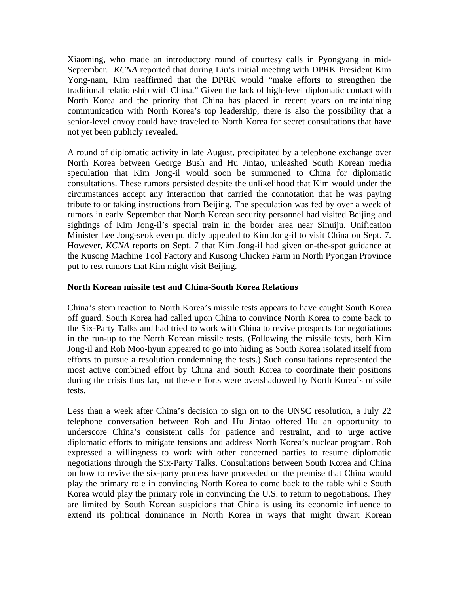Xiaoming, who made an introductory round of courtesy calls in Pyongyang in mid-September. *KCNA* reported that during Liu's initial meeting with DPRK President Kim Yong-nam, Kim reaffirmed that the DPRK would "make efforts to strengthen the traditional relationship with China." Given the lack of high-level diplomatic contact with North Korea and the priority that China has placed in recent years on maintaining communication with North Korea's top leadership, there is also the possibility that a senior-level envoy could have traveled to North Korea for secret consultations that have not yet been publicly revealed.

A round of diplomatic activity in late August, precipitated by a telephone exchange over North Korea between George Bush and Hu Jintao, unleashed South Korean media speculation that Kim Jong-il would soon be summoned to China for diplomatic consultations. These rumors persisted despite the unlikelihood that Kim would under the circumstances accept any interaction that carried the connotation that he was paying tribute to or taking instructions from Beijing. The speculation was fed by over a week of rumors in early September that North Korean security personnel had visited Beijing and sightings of Kim Jong-il's special train in the border area near Sinuiju. Unification Minister Lee Jong-seok even publicly appealed to Kim Jong-il to visit China on Sept. 7. However, *KCNA* reports on Sept. 7 that Kim Jong-il had given on-the-spot guidance at the Kusong Machine Tool Factory and Kusong Chicken Farm in North Pyongan Province put to rest rumors that Kim might visit Beijing.

### **North Korean missile test and China-South Korea Relations**

China's stern reaction to North Korea's missile tests appears to have caught South Korea off guard. South Korea had called upon China to convince North Korea to come back to the Six-Party Talks and had tried to work with China to revive prospects for negotiations in the run-up to the North Korean missile tests. (Following the missile tests, both Kim Jong-il and Roh Moo-hyun appeared to go into hiding as South Korea isolated itself from efforts to pursue a resolution condemning the tests.) Such consultations represented the most active combined effort by China and South Korea to coordinate their positions during the crisis thus far, but these efforts were overshadowed by North Korea's missile tests.

Less than a week after China's decision to sign on to the UNSC resolution, a July 22 telephone conversation between Roh and Hu Jintao offered Hu an opportunity to underscore China's consistent calls for patience and restraint, and to urge active diplomatic efforts to mitigate tensions and address North Korea's nuclear program. Roh expressed a willingness to work with other concerned parties to resume diplomatic negotiations through the Six-Party Talks. Consultations between South Korea and China on how to revive the six-party process have proceeded on the premise that China would play the primary role in convincing North Korea to come back to the table while South Korea would play the primary role in convincing the U.S. to return to negotiations. They are limited by South Korean suspicions that China is using its economic influence to extend its political dominance in North Korea in ways that might thwart Korean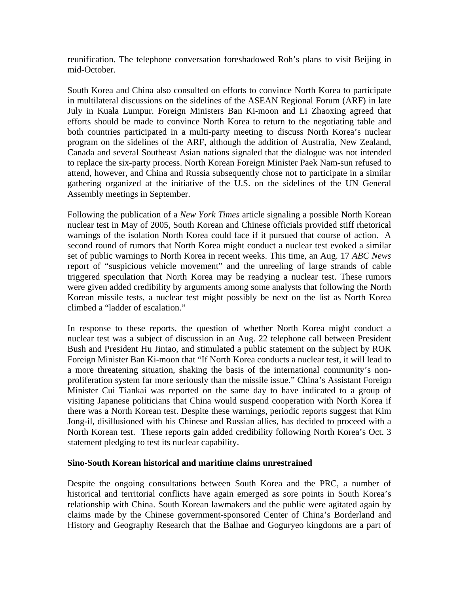reunification. The telephone conversation foreshadowed Roh's plans to visit Beijing in mid-October.

South Korea and China also consulted on efforts to convince North Korea to participate in multilateral discussions on the sidelines of the ASEAN Regional Forum (ARF) in late July in Kuala Lumpur. Foreign Ministers Ban Ki-moon and Li Zhaoxing agreed that efforts should be made to convince North Korea to return to the negotiating table and both countries participated in a multi-party meeting to discuss North Korea's nuclear program on the sidelines of the ARF, although the addition of Australia, New Zealand, Canada and several Southeast Asian nations signaled that the dialogue was not intended to replace the six-party process. North Korean Foreign Minister Paek Nam-sun refused to attend, however, and China and Russia subsequently chose not to participate in a similar gathering organized at the initiative of the U.S. on the sidelines of the UN General Assembly meetings in September.

Following the publication of a *New York Times* article signaling a possible North Korean nuclear test in May of 2005, South Korean and Chinese officials provided stiff rhetorical warnings of the isolation North Korea could face if it pursued that course of action. A second round of rumors that North Korea might conduct a nuclear test evoked a similar set of public warnings to North Korea in recent weeks. This time, an Aug. 17 *ABC News* report of "suspicious vehicle movement" and the unreeling of large strands of cable triggered speculation that North Korea may be readying a nuclear test. These rumors were given added credibility by arguments among some analysts that following the North Korean missile tests, a nuclear test might possibly be next on the list as North Korea climbed a "ladder of escalation."

In response to these reports, the question of whether North Korea might conduct a nuclear test was a subject of discussion in an Aug. 22 telephone call between President Bush and President Hu Jintao, and stimulated a public statement on the subject by ROK Foreign Minister Ban Ki-moon that "If North Korea conducts a nuclear test, it will lead to a more threatening situation, shaking the basis of the international community's nonproliferation system far more seriously than the missile issue." China's Assistant Foreign Minister Cui Tiankai was reported on the same day to have indicated to a group of visiting Japanese politicians that China would suspend cooperation with North Korea if there was a North Korean test. Despite these warnings, periodic reports suggest that Kim Jong-il, disillusioned with his Chinese and Russian allies, has decided to proceed with a North Korean test. These reports gain added credibility following North Korea's Oct. 3 statement pledging to test its nuclear capability.

#### **Sino-South Korean historical and maritime claims unrestrained**

Despite the ongoing consultations between South Korea and the PRC, a number of historical and territorial conflicts have again emerged as sore points in South Korea's relationship with China. South Korean lawmakers and the public were agitated again by claims made by the Chinese government-sponsored Center of China's Borderland and History and Geography Research that the Balhae and Goguryeo kingdoms are a part of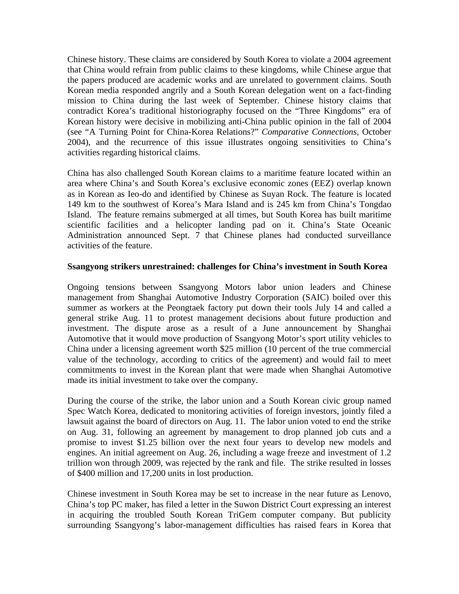Chinese history. These claims are considered by South Korea to violate a 2004 agreement that China would refrain from public claims to these kingdoms, while Chinese argue that the papers produced are academic works and are unrelated to government claims. South Korean media responded angrily and a South Korean delegation went on a fact-finding mission to China during the last week of September. Chinese history claims that contradict Korea's traditional historiography focused on the "Three Kingdoms" era of Korean history were decisive in mobilizing anti-China public opinion in the fall of 2004 (see "A Turning Point for China-Korea Relations?" *Comparative Connections*, October 2004), and the recurrence of this issue illustrates ongoing sensitivities to China's activities regarding historical claims.

China has also challenged South Korean claims to a maritime feature located within an area where China's and South Korea's exclusive economic zones (EEZ) overlap known as in Korean as Ieo-do and identified by Chinese as Suyan Rock. The feature is located 149 km to the southwest of Korea's Mara Island and is 245 km from China's Tongdao Island. The feature remains submerged at all times, but South Korea has built maritime scientific facilities and a helicopter landing pad on it. China's State Oceanic Administration announced Sept. 7 that Chinese planes had conducted surveillance activities of the feature.

#### **Ssangyong strikers unrestrained: challenges for China's investment in South Korea**

Ongoing tensions between Ssangyong Motors labor union leaders and Chinese management from Shanghai Automotive Industry Corporation (SAIC) boiled over this summer as workers at the Peongtaek factory put down their tools July 14 and called a general strike Aug. 11 to protest management decisions about future production and investment. The dispute arose as a result of a June announcement by Shanghai Automotive that it would move production of Ssangyong Motor's sport utility vehicles to China under a licensing agreement worth \$25 million (10 percent of the true commercial value of the technology, according to critics of the agreement) and would fail to meet commitments to invest in the Korean plant that were made when Shanghai Automotive made its initial investment to take over the company.

During the course of the strike, the labor union and a South Korean civic group named Spec Watch Korea, dedicated to monitoring activities of foreign investors, jointly filed a lawsuit against the board of directors on Aug. 11. The labor union voted to end the strike on Aug. 31, following an agreement by management to drop planned job cuts and a promise to invest \$1.25 billion over the next four years to develop new models and engines. An initial agreement on Aug. 26, including a wage freeze and investment of 1.2 trillion won through 2009, was rejected by the rank and file. The strike resulted in losses of \$400 million and 17,200 units in lost production.

Chinese investment in South Korea may be set to increase in the near future as Lenovo, China's top PC maker, has filed a letter in the Suwon District Court expressing an interest in acquiring the troubled South Korean TriGem computer company. But publicity surrounding Ssangyong's labor-management difficulties has raised fears in Korea that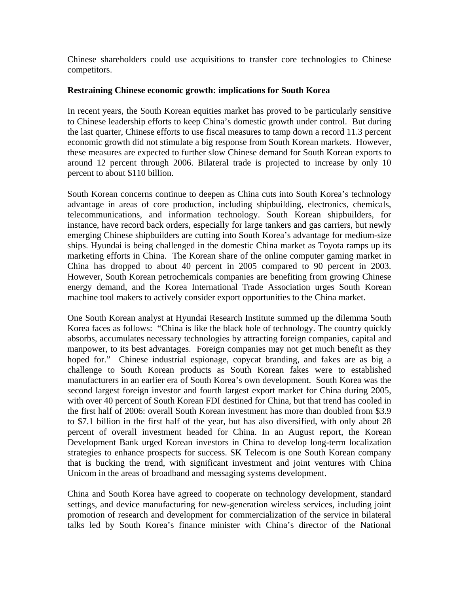Chinese shareholders could use acquisitions to transfer core technologies to Chinese competitors.

#### **Restraining Chinese economic growth: implications for South Korea**

In recent years, the South Korean equities market has proved to be particularly sensitive to Chinese leadership efforts to keep China's domestic growth under control. But during the last quarter, Chinese efforts to use fiscal measures to tamp down a record 11.3 percent economic growth did not stimulate a big response from South Korean markets. However, these measures are expected to further slow Chinese demand for South Korean exports to around 12 percent through 2006. Bilateral trade is projected to increase by only 10 percent to about \$110 billion.

South Korean concerns continue to deepen as China cuts into South Korea's technology advantage in areas of core production, including shipbuilding, electronics, chemicals, telecommunications, and information technology. South Korean shipbuilders, for instance, have record back orders, especially for large tankers and gas carriers, but newly emerging Chinese shipbuilders are cutting into South Korea's advantage for medium-size ships. Hyundai is being challenged in the domestic China market as Toyota ramps up its marketing efforts in China. The Korean share of the online computer gaming market in China has dropped to about 40 percent in 2005 compared to 90 percent in 2003. However, South Korean petrochemicals companies are benefiting from growing Chinese energy demand, and the Korea International Trade Association urges South Korean machine tool makers to actively consider export opportunities to the China market.

One South Korean analyst at Hyundai Research Institute summed up the dilemma South Korea faces as follows: "China is like the black hole of technology. The country quickly absorbs, accumulates necessary technologies by attracting foreign companies, capital and manpower, to its best advantages. Foreign companies may not get much benefit as they hoped for." Chinese industrial espionage, copycat branding, and fakes are as big a challenge to South Korean products as South Korean fakes were to established manufacturers in an earlier era of South Korea's own development. South Korea was the second largest foreign investor and fourth largest export market for China during 2005, with over 40 percent of South Korean FDI destined for China, but that trend has cooled in the first half of 2006: overall South Korean investment has more than doubled from \$3.9 to \$7.1 billion in the first half of the year, but has also diversified, with only about 28 percent of overall investment headed for China. In an August report, the Korean Development Bank urged Korean investors in China to develop long-term localization strategies to enhance prospects for success. SK Telecom is one South Korean company that is bucking the trend, with significant investment and joint ventures with China Unicom in the areas of broadband and messaging systems development.

China and South Korea have agreed to cooperate on technology development, standard settings, and device manufacturing for new-generation wireless services, including joint promotion of research and development for commercialization of the service in bilateral talks led by South Korea's finance minister with China's director of the National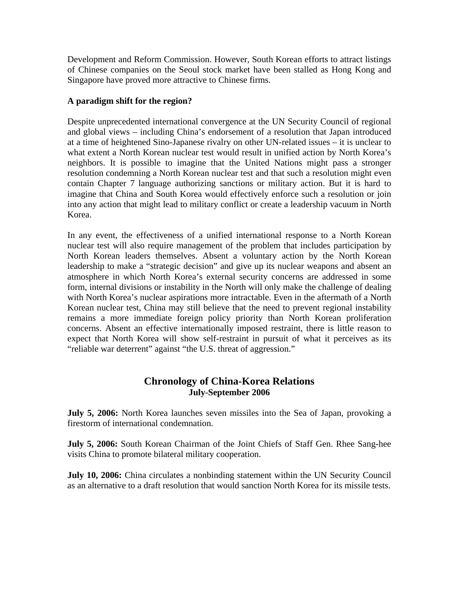Development and Reform Commission. However, South Korean efforts to attract listings of Chinese companies on the Seoul stock market have been stalled as Hong Kong and Singapore have proved more attractive to Chinese firms.

## **A paradigm shift for the region?**

Despite unprecedented international convergence at the UN Security Council of regional and global views – including China's endorsement of a resolution that Japan introduced at a time of heightened Sino-Japanese rivalry on other UN-related issues – it is unclear to what extent a North Korean nuclear test would result in unified action by North Korea's neighbors. It is possible to imagine that the United Nations might pass a stronger resolution condemning a North Korean nuclear test and that such a resolution might even contain Chapter 7 language authorizing sanctions or military action. But it is hard to imagine that China and South Korea would effectively enforce such a resolution or join into any action that might lead to military conflict or create a leadership vacuum in North Korea.

In any event, the effectiveness of a unified international response to a North Korean nuclear test will also require management of the problem that includes participation by North Korean leaders themselves. Absent a voluntary action by the North Korean leadership to make a "strategic decision" and give up its nuclear weapons and absent an atmosphere in which North Korea's external security concerns are addressed in some form, internal divisions or instability in the North will only make the challenge of dealing with North Korea's nuclear aspirations more intractable. Even in the aftermath of a North Korean nuclear test, China may still believe that the need to prevent regional instability remains a more immediate foreign policy priority than North Korean proliferation concerns. Absent an effective internationally imposed restraint, there is little reason to expect that North Korea will show self-restraint in pursuit of what it perceives as its "reliable war deterrent" against "the U.S. threat of aggression."

# **Chronology of China-Korea Relations July-September 2006**

**July 5, 2006:** North Korea launches seven missiles into the Sea of Japan, provoking a firestorm of international condemnation.

**July 5, 2006:** South Korean Chairman of the Joint Chiefs of Staff Gen. Rhee Sang-hee visits China to promote bilateral military cooperation.

**July 10, 2006:** China circulates a nonbinding statement within the UN Security Council as an alternative to a draft resolution that would sanction North Korea for its missile tests.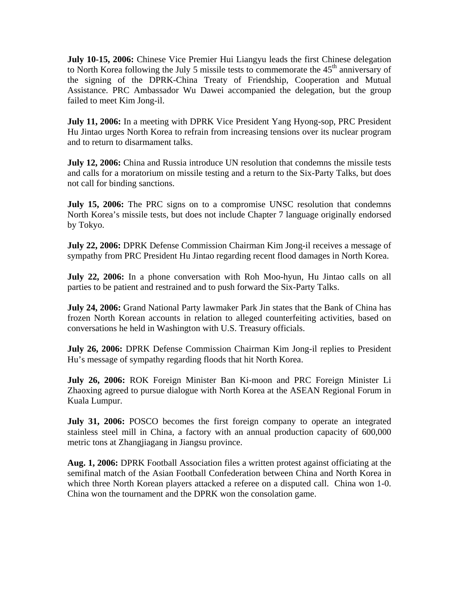**July 10-15, 2006:** Chinese Vice Premier Hui Liangyu leads the first Chinese delegation to North Korea following the July 5 missile tests to commemorate the  $45<sup>th</sup>$  anniversary of the signing of the DPRK-China Treaty of Friendship, Cooperation and Mutual Assistance. PRC Ambassador Wu Dawei accompanied the delegation, but the group failed to meet Kim Jong-il.

**July 11, 2006:** In a meeting with DPRK Vice President Yang Hyong-sop, PRC President Hu Jintao urges North Korea to refrain from increasing tensions over its nuclear program and to return to disarmament talks.

**July 12, 2006:** China and Russia introduce UN resolution that condemns the missile tests and calls for a moratorium on missile testing and a return to the Six-Party Talks, but does not call for binding sanctions.

**July 15, 2006:** The PRC signs on to a compromise UNSC resolution that condemns North Korea's missile tests, but does not include Chapter 7 language originally endorsed by Tokyo.

**July 22, 2006:** DPRK Defense Commission Chairman Kim Jong-il receives a message of sympathy from PRC President Hu Jintao regarding recent flood damages in North Korea.

**July 22, 2006:** In a phone conversation with Roh Moo-hyun, Hu Jintao calls on all parties to be patient and restrained and to push forward the Six-Party Talks.

**July 24, 2006:** Grand National Party lawmaker Park Jin states that the Bank of China has frozen North Korean accounts in relation to alleged counterfeiting activities, based on conversations he held in Washington with U.S. Treasury officials.

**July 26, 2006:** DPRK Defense Commission Chairman Kim Jong-il replies to President Hu's message of sympathy regarding floods that hit North Korea.

**July 26, 2006:** ROK Foreign Minister Ban Ki-moon and PRC Foreign Minister Li Zhaoxing agreed to pursue dialogue with North Korea at the ASEAN Regional Forum in Kuala Lumpur.

**July 31, 2006:** POSCO becomes the first foreign company to operate an integrated stainless steel mill in China, a factory with an annual production capacity of 600,000 metric tons at Zhangjiagang in Jiangsu province.

**Aug. 1, 2006:** DPRK Football Association files a written protest against officiating at the semifinal match of the Asian Football Confederation between China and North Korea in which three North Korean players attacked a referee on a disputed call. China won 1-0. China won the tournament and the DPRK won the consolation game.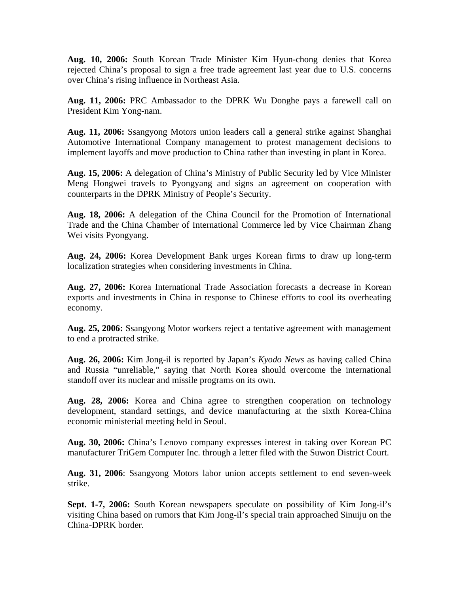**Aug. 10, 2006:** South Korean Trade Minister Kim Hyun-chong denies that Korea rejected China's proposal to sign a free trade agreement last year due to U.S. concerns over China's rising influence in Northeast Asia.

**Aug. 11, 2006:** PRC Ambassador to the DPRK Wu Donghe pays a farewell call on President Kim Yong-nam.

**Aug. 11, 2006:** Ssangyong Motors union leaders call a general strike against Shanghai Automotive International Company management to protest management decisions to implement layoffs and move production to China rather than investing in plant in Korea.

**Aug. 15, 2006:** A delegation of China's Ministry of Public Security led by Vice Minister Meng Hongwei travels to Pyongyang and signs an agreement on cooperation with counterparts in the DPRK Ministry of People's Security.

**Aug. 18, 2006:** A delegation of the China Council for the Promotion of International Trade and the China Chamber of International Commerce led by Vice Chairman Zhang Wei visits Pyongyang.

**Aug. 24, 2006:** Korea Development Bank urges Korean firms to draw up long-term localization strategies when considering investments in China.

**Aug. 27, 2006:** Korea International Trade Association forecasts a decrease in Korean exports and investments in China in response to Chinese efforts to cool its overheating economy.

**Aug. 25, 2006:** Ssangyong Motor workers reject a tentative agreement with management to end a protracted strike.

**Aug. 26, 2006:** Kim Jong-il is reported by Japan's *Kyodo News* as having called China and Russia "unreliable," saying that North Korea should overcome the international standoff over its nuclear and missile programs on its own.

**Aug. 28, 2006:** Korea and China agree to strengthen cooperation on technology development, standard settings, and device manufacturing at the sixth Korea-China economic ministerial meeting held in Seoul.

**Aug. 30, 2006:** China's Lenovo company expresses interest in taking over Korean PC manufacturer TriGem Computer Inc. through a letter filed with the Suwon District Court.

**Aug. 31, 2006**: Ssangyong Motors labor union accepts settlement to end seven-week strike.

**Sept. 1-7, 2006:** South Korean newspapers speculate on possibility of Kim Jong-il's visiting China based on rumors that Kim Jong-il's special train approached Sinuiju on the China-DPRK border.